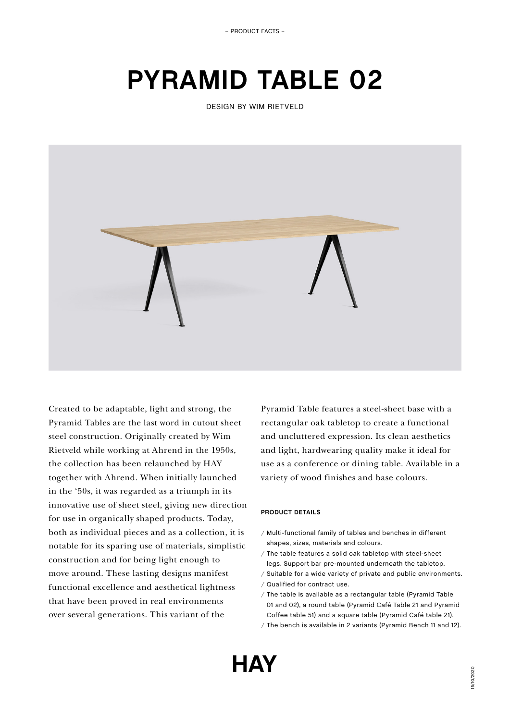– PRODUCT FACTS –

# **PYRAMID TABLE 02**

DESIGN BY WIM RIETVELD



Created to be adaptable, light and strong, the Pyramid Tables are the last word in cutout sheet steel construction. Originally created by Wim Rietveld while working at Ahrend in the 1950s, the collection has been relaunched by HAY together with Ahrend. When initially launched in the '50s, it was regarded as a triumph in its innovative use of sheet steel, giving new direction for use in organically shaped products. Today, both as individual pieces and as a collection, it is notable for its sparing use of materials, simplistic construction and for being light enough to move around. These lasting designs manifest functional excellence and aesthetical lightness that have been proved in real environments over several generations. This variant of the

Pyramid Table features a steel-sheet base with a rectangular oak tabletop to create a functional and uncluttered expression. Its clean aesthetics and light, hardwearing quality make it ideal for use as a conference or dining table. Available in a variety of wood finishes and base colours.

# **PRODUCT DETAILS**

- / Multi-functional family of tables and benches in different shapes, sizes, materials and colours.
- / The table features a solid oak tabletop with steel-sheet legs. Support bar pre-mounted underneath the tabletop.
- / Suitable for a wide variety of private and public environments. / Qualified for contract use.
- / The table is available as a rectangular table (Pyramid Table 01 and 02), a round table (Pyramid Café Table 21 and Pyramid Coffee table 51) and a square table (Pyramid Café table 21). / The bench is available in 2 variants (Pyramid Bench 11 and 12).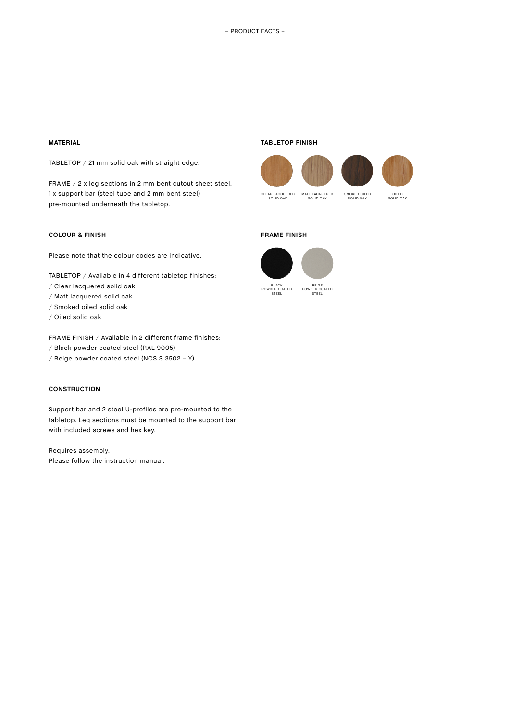## **MATERIAL**

TABLETOP / 21 mm solid oak with straight edge.

FRAME / 2 x leg sections in 2 mm bent cutout sheet steel. 1 x support bar (steel tube and 2 mm bent steel) pre-mounted underneath the tabletop.

## **COLOUR & FINISH**

Please note that the colour codes are indicative.

TABLETOP / Available in 4 different tabletop finishes:

- / Clear lacquered solid oak
- / Matt lacquered solid oak
- / Smoked oiled solid oak
- / Oiled solid oak

FRAME FINISH / Available in 2 different frame finishes:

- / Black powder coated steel (RAL 9005)
- / Beige powder coated steel (NCS S 3502 Y)

## **CONSTRUCTION**

Support bar and 2 steel U-profiles are pre-mounted to the tabletop. Leg sections must be mounted to the support bar with included screws and hex key.

Requires assembly. Please follow the instruction manual.

#### **TABLETOP FINISH**





# **FRAME FINISH**